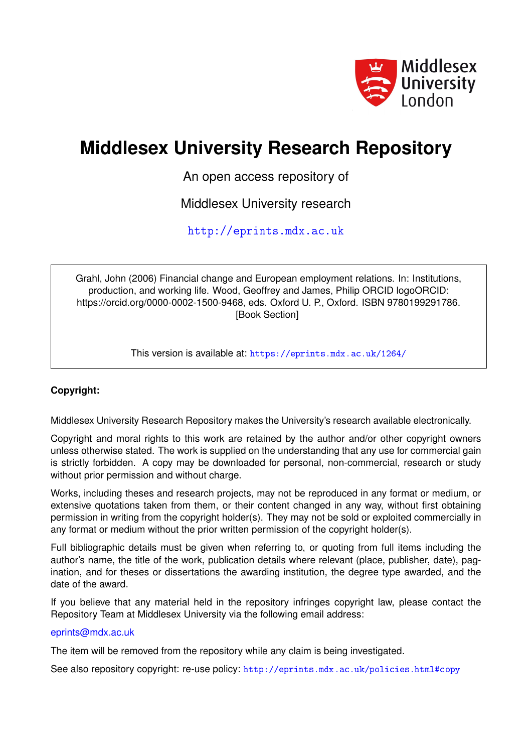

# **Middlesex University Research Repository**

An open access repository of

Middlesex University research

<http://eprints.mdx.ac.uk>

Grahl, John (2006) Financial change and European employment relations. In: Institutions, production, and working life. Wood, Geoffrey and James, Philip ORCID logoORCID: https://orcid.org/0000-0002-1500-9468, eds. Oxford U. P., Oxford. ISBN 9780199291786. [Book Section]

This version is available at: <https://eprints.mdx.ac.uk/1264/>

# **Copyright:**

Middlesex University Research Repository makes the University's research available electronically.

Copyright and moral rights to this work are retained by the author and/or other copyright owners unless otherwise stated. The work is supplied on the understanding that any use for commercial gain is strictly forbidden. A copy may be downloaded for personal, non-commercial, research or study without prior permission and without charge.

Works, including theses and research projects, may not be reproduced in any format or medium, or extensive quotations taken from them, or their content changed in any way, without first obtaining permission in writing from the copyright holder(s). They may not be sold or exploited commercially in any format or medium without the prior written permission of the copyright holder(s).

Full bibliographic details must be given when referring to, or quoting from full items including the author's name, the title of the work, publication details where relevant (place, publisher, date), pagination, and for theses or dissertations the awarding institution, the degree type awarded, and the date of the award.

If you believe that any material held in the repository infringes copyright law, please contact the Repository Team at Middlesex University via the following email address:

## [eprints@mdx.ac.uk](mailto:eprints@mdx.ac.uk)

The item will be removed from the repository while any claim is being investigated.

See also repository copyright: re-use policy: <http://eprints.mdx.ac.uk/policies.html#copy>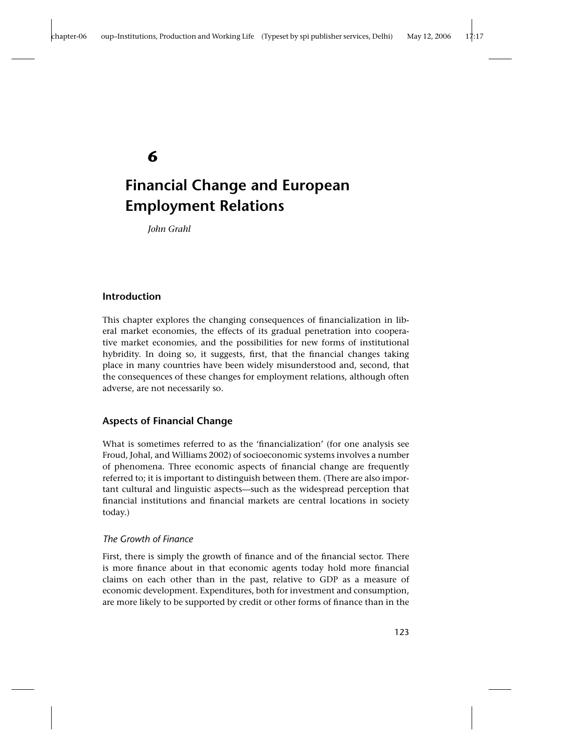## **6**

# **Financial Change and European Employment Relations**

*John Grahl*

## **Introduction**

This chapter explores the changing consequences of financialization in liberal market economies, the effects of its gradual penetration into cooperative market economies, and the possibilities for new forms of institutional hybridity. In doing so, it suggests, first, that the financial changes taking place in many countries have been widely misunderstood and, second, that the consequences of these changes for employment relations, although often adverse, are not necessarily so.

## **Aspects of Financial Change**

What is sometimes referred to as the 'financialization' (for one analysis see Froud, Johal, and Williams 2002) of socioeconomic systems involves a number of phenomena. Three economic aspects of financial change are frequently referred to; it is important to distinguish between them. (There are also important cultural and linguistic aspects—such as the widespread perception that financial institutions and financial markets are central locations in society today.)

## *The Growth of Finance*

First, there is simply the growth of finance and of the financial sector. There is more finance about in that economic agents today hold more financial claims on each other than in the past, relative to GDP as a measure of economic development. Expenditures, both for investment and consumption, are more likely to be supported by credit or other forms of finance than in the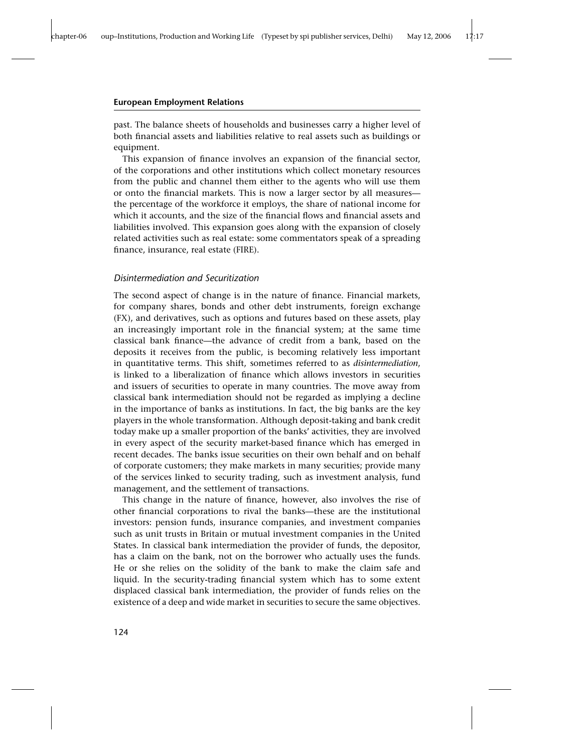past. The balance sheets of households and businesses carry a higher level of both financial assets and liabilities relative to real assets such as buildings or equipment.

This expansion of finance involves an expansion of the financial sector, of the corporations and other institutions which collect monetary resources from the public and channel them either to the agents who will use them or onto the financial markets. This is now a larger sector by all measures the percentage of the workforce it employs, the share of national income for which it accounts, and the size of the financial flows and financial assets and liabilities involved. This expansion goes along with the expansion of closely related activities such as real estate: some commentators speak of a spreading finance, insurance, real estate (FIRE).

## *Disintermediation and Securitization*

The second aspect of change is in the nature of finance. Financial markets, for company shares, bonds and other debt instruments, foreign exchange (FX), and derivatives, such as options and futures based on these assets, play an increasingly important role in the financial system; at the same time classical bank finance—the advance of credit from a bank, based on the deposits it receives from the public, is becoming relatively less important in quantitative terms. This shift, sometimes referred to as *disintermediation*, is linked to a liberalization of finance which allows investors in securities and issuers of securities to operate in many countries. The move away from classical bank intermediation should not be regarded as implying a decline in the importance of banks as institutions. In fact, the big banks are the key players in the whole transformation. Although deposit-taking and bank credit today make up a smaller proportion of the banks' activities, they are involved in every aspect of the security market-based finance which has emerged in recent decades. The banks issue securities on their own behalf and on behalf of corporate customers; they make markets in many securities; provide many of the services linked to security trading, such as investment analysis, fund management, and the settlement of transactions.

This change in the nature of finance, however, also involves the rise of other financial corporations to rival the banks—these are the institutional investors: pension funds, insurance companies, and investment companies such as unit trusts in Britain or mutual investment companies in the United States. In classical bank intermediation the provider of funds, the depositor, has a claim on the bank, not on the borrower who actually uses the funds. He or she relies on the solidity of the bank to make the claim safe and liquid. In the security-trading financial system which has to some extent displaced classical bank intermediation, the provider of funds relies on the existence of a deep and wide market in securities to secure the same objectives.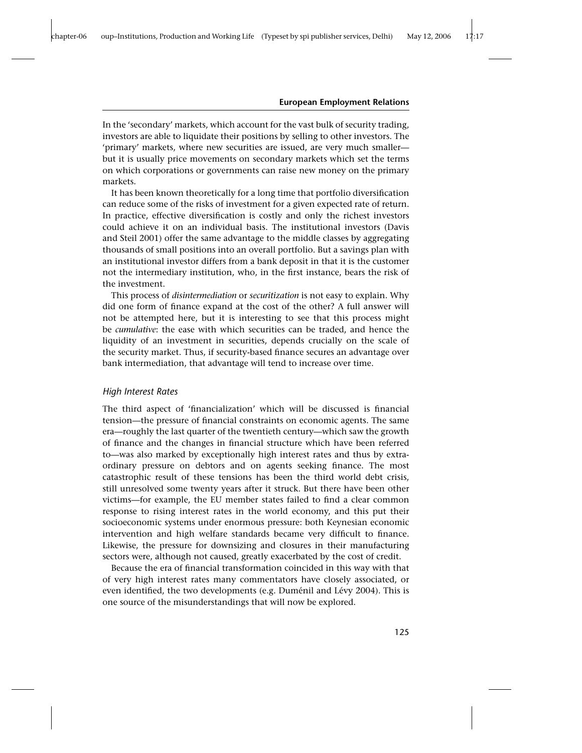In the 'secondary' markets, which account for the vast bulk of security trading, investors are able to liquidate their positions by selling to other investors. The 'primary' markets, where new securities are issued, are very much smaller but it is usually price movements on secondary markets which set the terms on which corporations or governments can raise new money on the primary markets.

It has been known theoretically for a long time that portfolio diversification can reduce some of the risks of investment for a given expected rate of return. In practice, effective diversification is costly and only the richest investors could achieve it on an individual basis. The institutional investors (Davis and Steil 2001) offer the same advantage to the middle classes by aggregating thousands of small positions into an overall portfolio. But a savings plan with an institutional investor differs from a bank deposit in that it is the customer not the intermediary institution, who, in the first instance, bears the risk of the investment.

This process of *disintermediation* or *securitization* is not easy to explain. Why did one form of finance expand at the cost of the other? A full answer will not be attempted here, but it is interesting to see that this process might be *cumulative*: the ease with which securities can be traded, and hence the liquidity of an investment in securities, depends crucially on the scale of the security market. Thus, if security-based finance secures an advantage over bank intermediation, that advantage will tend to increase over time.

## *High Interest Rates*

The third aspect of 'financialization' which will be discussed is financial tension—the pressure of financial constraints on economic agents. The same era—roughly the last quarter of the twentieth century—which saw the growth of finance and the changes in financial structure which have been referred to—was also marked by exceptionally high interest rates and thus by extraordinary pressure on debtors and on agents seeking finance. The most catastrophic result of these tensions has been the third world debt crisis, still unresolved some twenty years after it struck. But there have been other victims—for example, the EU member states failed to find a clear common response to rising interest rates in the world economy, and this put their socioeconomic systems under enormous pressure: both Keynesian economic intervention and high welfare standards became very difficult to finance. Likewise, the pressure for downsizing and closures in their manufacturing sectors were, although not caused, greatly exacerbated by the cost of credit.

Because the era of financial transformation coincided in this way with that of very high interest rates many commentators have closely associated, or even identified, the two developments (e.g. Duménil and Lévy 2004). This is one source of the misunderstandings that will now be explored.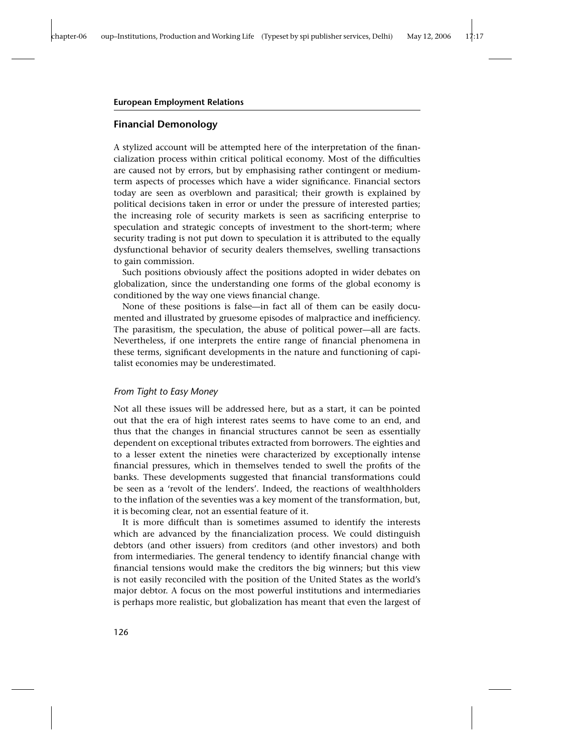## **Financial Demonology**

A stylized account will be attempted here of the interpretation of the financialization process within critical political economy. Most of the difficulties are caused not by errors, but by emphasising rather contingent or mediumterm aspects of processes which have a wider significance. Financial sectors today are seen as overblown and parasitical; their growth is explained by political decisions taken in error or under the pressure of interested parties; the increasing role of security markets is seen as sacrificing enterprise to speculation and strategic concepts of investment to the short-term; where security trading is not put down to speculation it is attributed to the equally dysfunctional behavior of security dealers themselves, swelling transactions to gain commission.

Such positions obviously affect the positions adopted in wider debates on globalization, since the understanding one forms of the global economy is conditioned by the way one views financial change.

None of these positions is false—in fact all of them can be easily documented and illustrated by gruesome episodes of malpractice and inefficiency. The parasitism, the speculation, the abuse of political power—all are facts. Nevertheless, if one interprets the entire range of financial phenomena in these terms, significant developments in the nature and functioning of capitalist economies may be underestimated.

## *From Tight to Easy Money*

Not all these issues will be addressed here, but as a start, it can be pointed out that the era of high interest rates seems to have come to an end, and thus that the changes in financial structures cannot be seen as essentially dependent on exceptional tributes extracted from borrowers. The eighties and to a lesser extent the nineties were characterized by exceptionally intense financial pressures, which in themselves tended to swell the profits of the banks. These developments suggested that financial transformations could be seen as a 'revolt of the lenders'. Indeed, the reactions of wealthholders to the inflation of the seventies was a key moment of the transformation, but, it is becoming clear, not an essential feature of it.

It is more difficult than is sometimes assumed to identify the interests which are advanced by the financialization process. We could distinguish debtors (and other issuers) from creditors (and other investors) and both from intermediaries. The general tendency to identify financial change with financial tensions would make the creditors the big winners; but this view is not easily reconciled with the position of the United States as the world's major debtor. A focus on the most powerful institutions and intermediaries is perhaps more realistic, but globalization has meant that even the largest of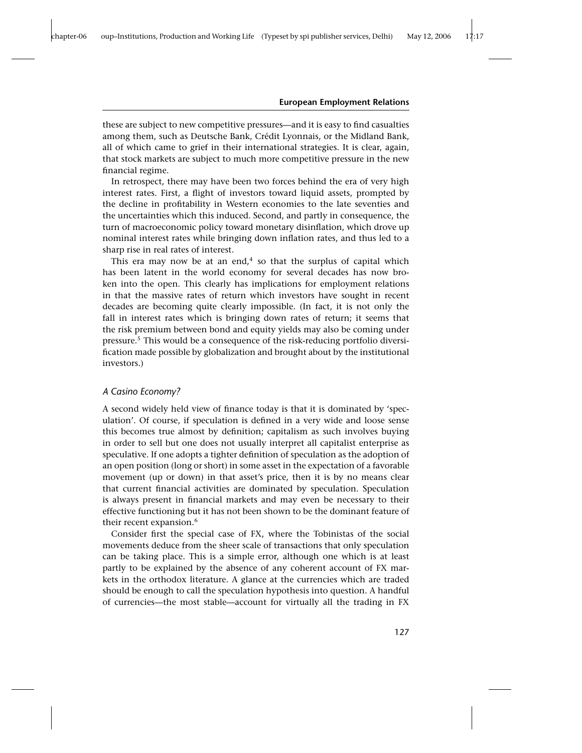these are subject to new competitive pressures—and it is easy to find casualties among them, such as Deutsche Bank, Crédit Lyonnais, or the Midland Bank, all of which came to grief in their international strategies. It is clear, again, that stock markets are subject to much more competitive pressure in the new financial regime.

In retrospect, there may have been two forces behind the era of very high interest rates. First, a flight of investors toward liquid assets, prompted by the decline in profitability in Western economies to the late seventies and the uncertainties which this induced. Second, and partly in consequence, the turn of macroeconomic policy toward monetary disinflation, which drove up nominal interest rates while bringing down inflation rates, and thus led to a sharp rise in real rates of interest.

This era may now be at an end, $4$  so that the surplus of capital which has been latent in the world economy for several decades has now broken into the open. This clearly has implications for employment relations in that the massive rates of return which investors have sought in recent decades are becoming quite clearly impossible. (In fact, it is not only the fall in interest rates which is bringing down rates of return; it seems that the risk premium between bond and equity yields may also be coming under pressure.<sup>5</sup> This would be a consequence of the risk-reducing portfolio diversification made possible by globalization and brought about by the institutional investors.)

## *A Casino Economy?*

A second widely held view of finance today is that it is dominated by 'speculation'. Of course, if speculation is defined in a very wide and loose sense this becomes true almost by definition; capitalism as such involves buying in order to sell but one does not usually interpret all capitalist enterprise as speculative. If one adopts a tighter definition of speculation as the adoption of an open position (long or short) in some asset in the expectation of a favorable movement (up or down) in that asset's price, then it is by no means clear that current financial activities are dominated by speculation. Speculation is always present in financial markets and may even be necessary to their effective functioning but it has not been shown to be the dominant feature of their recent expansion.<sup>6</sup>

Consider first the special case of FX, where the Tobinistas of the social movements deduce from the sheer scale of transactions that only speculation can be taking place. This is a simple error, although one which is at least partly to be explained by the absence of any coherent account of FX markets in the orthodox literature. A glance at the currencies which are traded should be enough to call the speculation hypothesis into question. A handful of currencies—the most stable—account for virtually all the trading in FX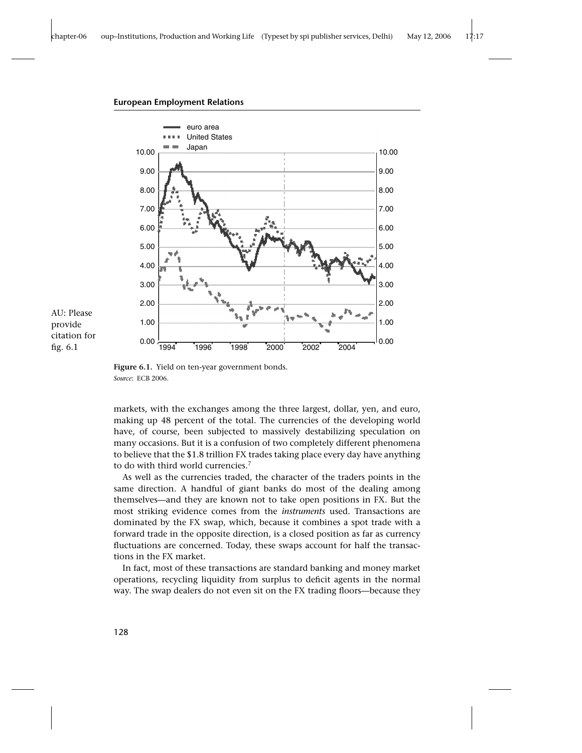

AU: Please provide citation for fig. 6.1

**Figure 6.1.** Yield on ten-year government bonds. *Source*: ECB 2006.

markets, with the exchanges among the three largest, dollar, yen, and euro, making up 48 percent of the total. The currencies of the developing world have, of course, been subjected to massively destabilizing speculation on many occasions. But it is a confusion of two completely different phenomena to believe that the \$1.8 trillion FX trades taking place every day have anything to do with third world currencies.<sup>7</sup>

As well as the currencies traded, the character of the traders points in the same direction. A handful of giant banks do most of the dealing among themselves—and they are known not to take open positions in FX. But the most striking evidence comes from the *instruments* used. Transactions are dominated by the FX swap, which, because it combines a spot trade with a forward trade in the opposite direction, is a closed position as far as currency fluctuations are concerned. Today, these swaps account for half the transactions in the FX market.

In fact, most of these transactions are standard banking and money market operations, recycling liquidity from surplus to deficit agents in the normal way. The swap dealers do not even sit on the FX trading floors—because they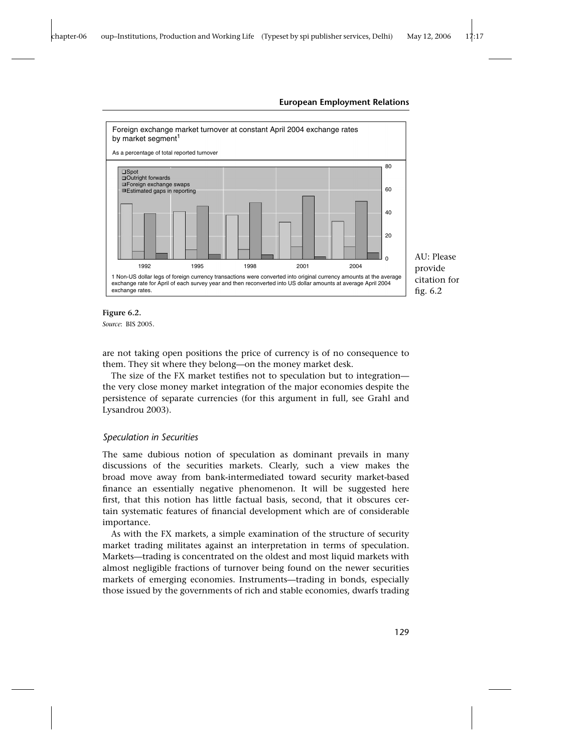



*Source*: BIS 2005.

are not taking open positions the price of currency is of no consequence to them. They sit where they belong—on the money market desk.

The size of the FX market testifies not to speculation but to integration the very close money market integration of the major economies despite the persistence of separate currencies (for this argument in full, see Grahl and Lysandrou 2003).

## *Speculation in Securities*

The same dubious notion of speculation as dominant prevails in many discussions of the securities markets. Clearly, such a view makes the broad move away from bank-intermediated toward security market-based finance an essentially negative phenomenon. It will be suggested here first, that this notion has little factual basis, second, that it obscures certain systematic features of financial development which are of considerable importance.

As with the FX markets, a simple examination of the structure of security market trading militates against an interpretation in terms of speculation. Markets—trading is concentrated on the oldest and most liquid markets with almost negligible fractions of turnover being found on the newer securities markets of emerging economies. Instruments—trading in bonds, especially those issued by the governments of rich and stable economies, dwarfs trading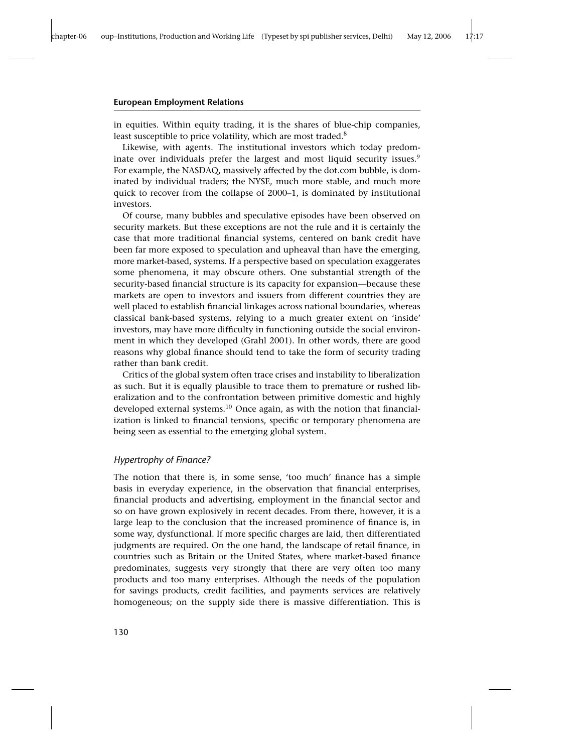in equities. Within equity trading, it is the shares of blue-chip companies, least susceptible to price volatility, which are most traded.<sup>8</sup>

Likewise, with agents. The institutional investors which today predominate over individuals prefer the largest and most liquid security issues.<sup>9</sup> For example, the NASDAQ, massively affected by the dot.com bubble, is dominated by individual traders; the NYSE, much more stable, and much more quick to recover from the collapse of 2000–1, is dominated by institutional investors.

Of course, many bubbles and speculative episodes have been observed on security markets. But these exceptions are not the rule and it is certainly the case that more traditional financial systems, centered on bank credit have been far more exposed to speculation and upheaval than have the emerging, more market-based, systems. If a perspective based on speculation exaggerates some phenomena, it may obscure others. One substantial strength of the security-based financial structure is its capacity for expansion—because these markets are open to investors and issuers from different countries they are well placed to establish financial linkages across national boundaries, whereas classical bank-based systems, relying to a much greater extent on 'inside' investors, may have more difficulty in functioning outside the social environment in which they developed (Grahl 2001). In other words, there are good reasons why global finance should tend to take the form of security trading rather than bank credit.

Critics of the global system often trace crises and instability to liberalization as such. But it is equally plausible to trace them to premature or rushed liberalization and to the confrontation between primitive domestic and highly developed external systems.<sup>10</sup> Once again, as with the notion that financialization is linked to financial tensions, specific or temporary phenomena are being seen as essential to the emerging global system.

## *Hypertrophy of Finance?*

The notion that there is, in some sense, 'too much' finance has a simple basis in everyday experience, in the observation that financial enterprises, financial products and advertising, employment in the financial sector and so on have grown explosively in recent decades. From there, however, it is a large leap to the conclusion that the increased prominence of finance is, in some way, dysfunctional. If more specific charges are laid, then differentiated judgments are required. On the one hand, the landscape of retail finance, in countries such as Britain or the United States, where market-based finance predominates, suggests very strongly that there are very often too many products and too many enterprises. Although the needs of the population for savings products, credit facilities, and payments services are relatively homogeneous; on the supply side there is massive differentiation. This is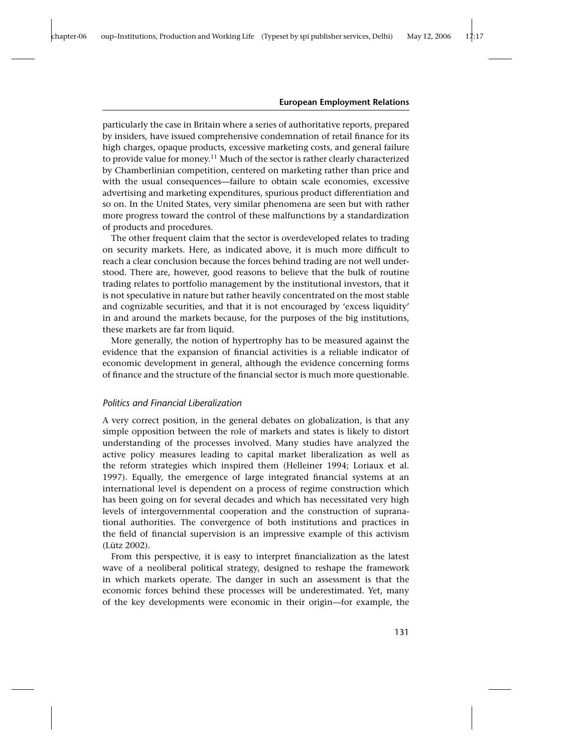particularly the case in Britain where a series of authoritative reports, prepared by insiders, have issued comprehensive condemnation of retail finance for its high charges, opaque products, excessive marketing costs, and general failure to provide value for money.<sup>11</sup> Much of the sector is rather clearly characterized by Chamberlinian competition, centered on marketing rather than price and with the usual consequences—failure to obtain scale economies, excessive advertising and marketing expenditures, spurious product differentiation and so on. In the United States, very similar phenomena are seen but with rather more progress toward the control of these malfunctions by a standardization of products and procedures.

The other frequent claim that the sector is overdeveloped relates to trading on security markets. Here, as indicated above, it is much more difficult to reach a clear conclusion because the forces behind trading are not well understood. There are, however, good reasons to believe that the bulk of routine trading relates to portfolio management by the institutional investors, that it is not speculative in nature but rather heavily concentrated on the most stable and cognizable securities, and that it is not encouraged by 'excess liquidity' in and around the markets because, for the purposes of the big institutions, these markets are far from liquid.

More generally, the notion of hypertrophy has to be measured against the evidence that the expansion of financial activities is a reliable indicator of economic development in general, although the evidence concerning forms of finance and the structure of the financial sector is much more questionable.

### *Politics and Financial Liberalization*

A very correct position, in the general debates on globalization, is that any simple opposition between the role of markets and states is likely to distort understanding of the processes involved. Many studies have analyzed the active policy measures leading to capital market liberalization as well as the reform strategies which inspired them (Helleiner 1994; Loriaux et al. 1997). Equally, the emergence of large integrated financial systems at an international level is dependent on a process of regime construction which has been going on for several decades and which has necessitated very high levels of intergovernmental cooperation and the construction of supranational authorities. The convergence of both institutions and practices in the field of financial supervision is an impressive example of this activism (Lütz 2002).

From this perspective, it is easy to interpret financialization as the latest wave of a neoliberal political strategy, designed to reshape the framework in which markets operate. The danger in such an assessment is that the economic forces behind these processes will be underestimated. Yet, many of the key developments were economic in their origin—for example, the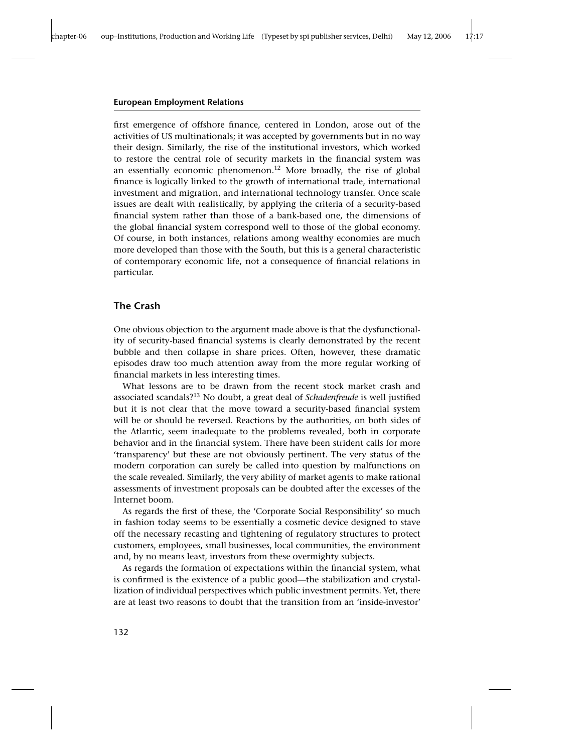first emergence of offshore finance, centered in London, arose out of the activities of US multinationals; it was accepted by governments but in no way their design. Similarly, the rise of the institutional investors, which worked to restore the central role of security markets in the financial system was an essentially economic phenomenon.<sup>12</sup> More broadly, the rise of global finance is logically linked to the growth of international trade, international investment and migration, and international technology transfer. Once scale issues are dealt with realistically, by applying the criteria of a security-based financial system rather than those of a bank-based one, the dimensions of the global financial system correspond well to those of the global economy. Of course, in both instances, relations among wealthy economies are much more developed than those with the South, but this is a general characteristic of contemporary economic life, not a consequence of financial relations in particular.

## **The Crash**

One obvious objection to the argument made above is that the dysfunctionality of security-based financial systems is clearly demonstrated by the recent bubble and then collapse in share prices. Often, however, these dramatic episodes draw too much attention away from the more regular working of financial markets in less interesting times.

What lessons are to be drawn from the recent stock market crash and associated scandals?<sup>13</sup> No doubt, a great deal of *Schadenfreude* is well justified but it is not clear that the move toward a security-based financial system will be or should be reversed. Reactions by the authorities, on both sides of the Atlantic, seem inadequate to the problems revealed, both in corporate behavior and in the financial system. There have been strident calls for more 'transparency' but these are not obviously pertinent. The very status of the modern corporation can surely be called into question by malfunctions on the scale revealed. Similarly, the very ability of market agents to make rational assessments of investment proposals can be doubted after the excesses of the Internet boom.

As regards the first of these, the 'Corporate Social Responsibility' so much in fashion today seems to be essentially a cosmetic device designed to stave off the necessary recasting and tightening of regulatory structures to protect customers, employees, small businesses, local communities, the environment and, by no means least, investors from these overmighty subjects.

As regards the formation of expectations within the financial system, what is confirmed is the existence of a public good—the stabilization and crystallization of individual perspectives which public investment permits. Yet, there are at least two reasons to doubt that the transition from an 'inside-investor'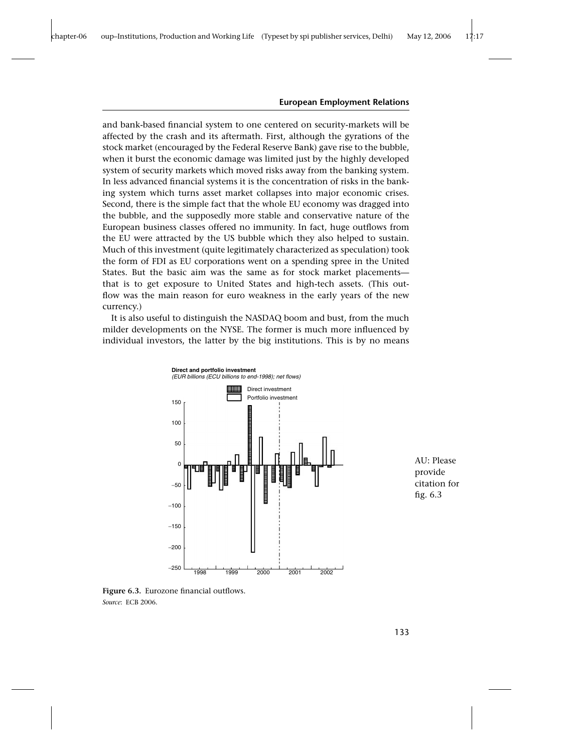and bank-based financial system to one centered on security-markets will be affected by the crash and its aftermath. First, although the gyrations of the stock market (encouraged by the Federal Reserve Bank) gave rise to the bubble, when it burst the economic damage was limited just by the highly developed system of security markets which moved risks away from the banking system. In less advanced financial systems it is the concentration of risks in the banking system which turns asset market collapses into major economic crises. Second, there is the simple fact that the whole EU economy was dragged into the bubble, and the supposedly more stable and conservative nature of the European business classes offered no immunity. In fact, huge outflows from the EU were attracted by the US bubble which they also helped to sustain. Much of this investment (quite legitimately characterized as speculation) took the form of FDI as EU corporations went on a spending spree in the United States. But the basic aim was the same as for stock market placements that is to get exposure to United States and high-tech assets. (This outflow was the main reason for euro weakness in the early years of the new currency.)

It is also useful to distinguish the NASDAQ boom and bust, from the much milder developments on the NYSE. The former is much more influenced by individual investors, the latter by the big institutions. This is by no means



AU: Please provide citation for fig. 6.3

**Figure 6.3.** Eurozone financial outflows. *Source*: ECB 2006.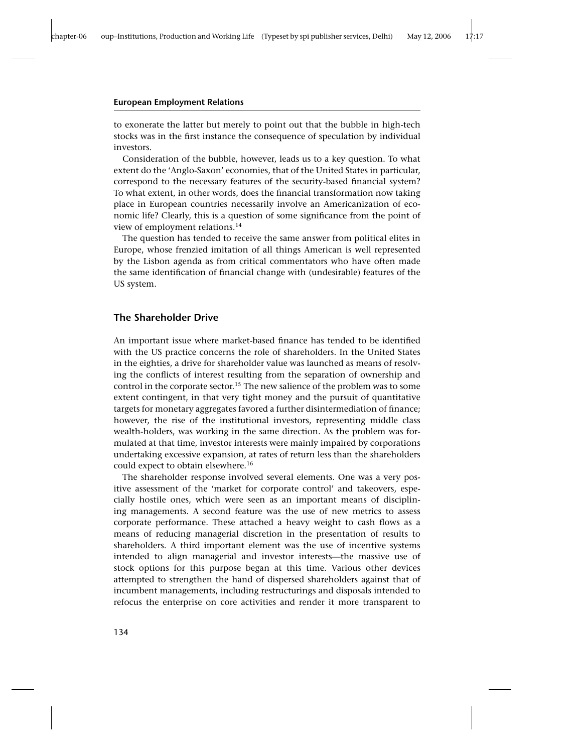to exonerate the latter but merely to point out that the bubble in high-tech stocks was in the first instance the consequence of speculation by individual investors.

Consideration of the bubble, however, leads us to a key question. To what extent do the 'Anglo-Saxon' economies, that of the United States in particular, correspond to the necessary features of the security-based financial system? To what extent, in other words, does the financial transformation now taking place in European countries necessarily involve an Americanization of economic life? Clearly, this is a question of some significance from the point of view of employment relations.<sup>14</sup>

The question has tended to receive the same answer from political elites in Europe, whose frenzied imitation of all things American is well represented by the Lisbon agenda as from critical commentators who have often made the same identification of financial change with (undesirable) features of the US system.

## **The Shareholder Drive**

An important issue where market-based finance has tended to be identified with the US practice concerns the role of shareholders. In the United States in the eighties, a drive for shareholder value was launched as means of resolving the conflicts of interest resulting from the separation of ownership and control in the corporate sector.<sup>15</sup> The new salience of the problem was to some extent contingent, in that very tight money and the pursuit of quantitative targets for monetary aggregates favored a further disintermediation of finance; however, the rise of the institutional investors, representing middle class wealth-holders, was working in the same direction. As the problem was formulated at that time, investor interests were mainly impaired by corporations undertaking excessive expansion, at rates of return less than the shareholders could expect to obtain elsewhere.<sup>16</sup>

The shareholder response involved several elements. One was a very positive assessment of the 'market for corporate control' and takeovers, especially hostile ones, which were seen as an important means of disciplining managements. A second feature was the use of new metrics to assess corporate performance. These attached a heavy weight to cash flows as a means of reducing managerial discretion in the presentation of results to shareholders. A third important element was the use of incentive systems intended to align managerial and investor interests—the massive use of stock options for this purpose began at this time. Various other devices attempted to strengthen the hand of dispersed shareholders against that of incumbent managements, including restructurings and disposals intended to refocus the enterprise on core activities and render it more transparent to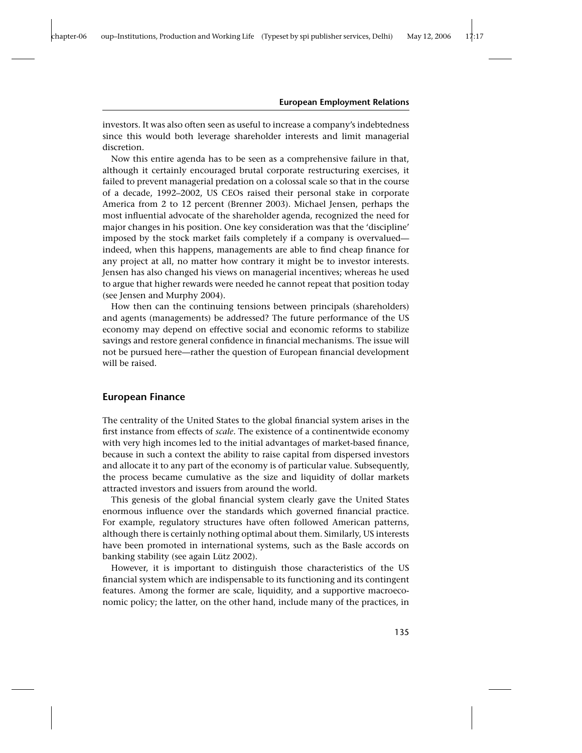investors. It was also often seen as useful to increase a company's indebtedness since this would both leverage shareholder interests and limit managerial discretion.

Now this entire agenda has to be seen as a comprehensive failure in that, although it certainly encouraged brutal corporate restructuring exercises, it failed to prevent managerial predation on a colossal scale so that in the course of a decade, 1992–2002, US CEOs raised their personal stake in corporate America from 2 to 12 percent (Brenner 2003). Michael Jensen, perhaps the most influential advocate of the shareholder agenda, recognized the need for major changes in his position. One key consideration was that the 'discipline' imposed by the stock market fails completely if a company is overvalued indeed, when this happens, managements are able to find cheap finance for any project at all, no matter how contrary it might be to investor interests. Jensen has also changed his views on managerial incentives; whereas he used to argue that higher rewards were needed he cannot repeat that position today (see Jensen and Murphy 2004).

How then can the continuing tensions between principals (shareholders) and agents (managements) be addressed? The future performance of the US economy may depend on effective social and economic reforms to stabilize savings and restore general confidence in financial mechanisms. The issue will not be pursued here—rather the question of European financial development will be raised.

## **European Finance**

The centrality of the United States to the global financial system arises in the first instance from effects of *scale*. The existence of a continentwide economy with very high incomes led to the initial advantages of market-based finance, because in such a context the ability to raise capital from dispersed investors and allocate it to any part of the economy is of particular value. Subsequently, the process became cumulative as the size and liquidity of dollar markets attracted investors and issuers from around the world.

This genesis of the global financial system clearly gave the United States enormous influence over the standards which governed financial practice. For example, regulatory structures have often followed American patterns, although there is certainly nothing optimal about them. Similarly, US interests have been promoted in international systems, such as the Basle accords on banking stability (see again Lütz 2002).

However, it is important to distinguish those characteristics of the US financial system which are indispensable to its functioning and its contingent features. Among the former are scale, liquidity, and a supportive macroeconomic policy; the latter, on the other hand, include many of the practices, in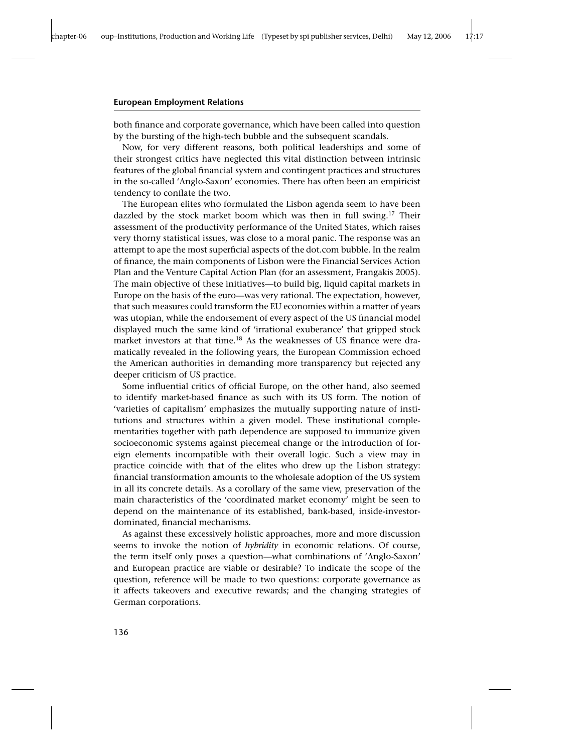both finance and corporate governance, which have been called into question by the bursting of the high-tech bubble and the subsequent scandals.

Now, for very different reasons, both political leaderships and some of their strongest critics have neglected this vital distinction between intrinsic features of the global financial system and contingent practices and structures in the so-called 'Anglo-Saxon' economies. There has often been an empiricist tendency to conflate the two.

The European elites who formulated the Lisbon agenda seem to have been dazzled by the stock market boom which was then in full swing.<sup>17</sup> Their assessment of the productivity performance of the United States, which raises very thorny statistical issues, was close to a moral panic. The response was an attempt to ape the most superficial aspects of the dot.com bubble. In the realm of finance, the main components of Lisbon were the Financial Services Action Plan and the Venture Capital Action Plan (for an assessment, Frangakis 2005). The main objective of these initiatives—to build big, liquid capital markets in Europe on the basis of the euro—was very rational. The expectation, however, that such measures could transform the EU economies within a matter of years was utopian, while the endorsement of every aspect of the US financial model displayed much the same kind of 'irrational exuberance' that gripped stock market investors at that time.<sup>18</sup> As the weaknesses of US finance were dramatically revealed in the following years, the European Commission echoed the American authorities in demanding more transparency but rejected any deeper criticism of US practice.

Some influential critics of official Europe, on the other hand, also seemed to identify market-based finance as such with its US form. The notion of 'varieties of capitalism' emphasizes the mutually supporting nature of institutions and structures within a given model. These institutional complementarities together with path dependence are supposed to immunize given socioeconomic systems against piecemeal change or the introduction of foreign elements incompatible with their overall logic. Such a view may in practice coincide with that of the elites who drew up the Lisbon strategy: financial transformation amounts to the wholesale adoption of the US system in all its concrete details. As a corollary of the same view, preservation of the main characteristics of the 'coordinated market economy' might be seen to depend on the maintenance of its established, bank-based, inside-investordominated, financial mechanisms.

As against these excessively holistic approaches, more and more discussion seems to invoke the notion of *hybridity* in economic relations. Of course, the term itself only poses a question—what combinations of 'Anglo-Saxon' and European practice are viable or desirable? To indicate the scope of the question, reference will be made to two questions: corporate governance as it affects takeovers and executive rewards; and the changing strategies of German corporations.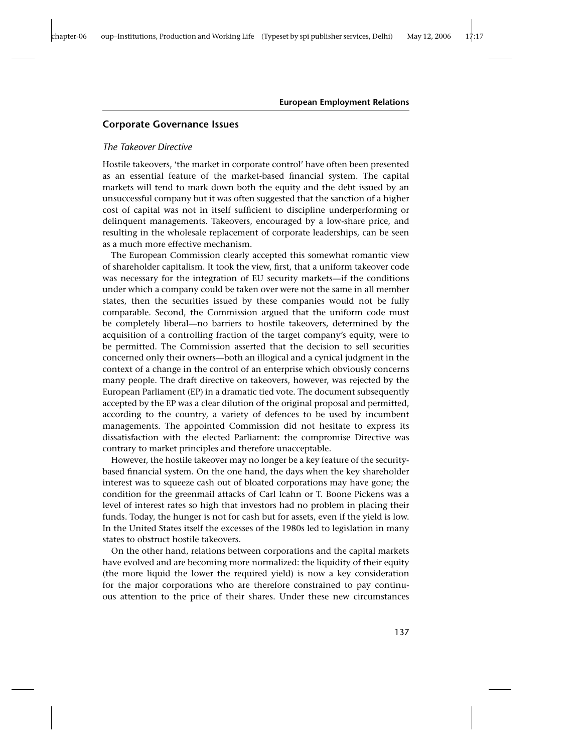## **Corporate Governance Issues**

## *The Takeover Directive*

Hostile takeovers, 'the market in corporate control' have often been presented as an essential feature of the market-based financial system. The capital markets will tend to mark down both the equity and the debt issued by an unsuccessful company but it was often suggested that the sanction of a higher cost of capital was not in itself sufficient to discipline underperforming or delinquent managements. Takeovers, encouraged by a low-share price, and resulting in the wholesale replacement of corporate leaderships, can be seen as a much more effective mechanism.

The European Commission clearly accepted this somewhat romantic view of shareholder capitalism. It took the view, first, that a uniform takeover code was necessary for the integration of EU security markets—if the conditions under which a company could be taken over were not the same in all member states, then the securities issued by these companies would not be fully comparable. Second, the Commission argued that the uniform code must be completely liberal—no barriers to hostile takeovers, determined by the acquisition of a controlling fraction of the target company's equity, were to be permitted. The Commission asserted that the decision to sell securities concerned only their owners—both an illogical and a cynical judgment in the context of a change in the control of an enterprise which obviously concerns many people. The draft directive on takeovers, however, was rejected by the European Parliament (EP) in a dramatic tied vote. The document subsequently accepted by the EP was a clear dilution of the original proposal and permitted, according to the country, a variety of defences to be used by incumbent managements. The appointed Commission did not hesitate to express its dissatisfaction with the elected Parliament: the compromise Directive was contrary to market principles and therefore unacceptable.

However, the hostile takeover may no longer be a key feature of the securitybased financial system. On the one hand, the days when the key shareholder interest was to squeeze cash out of bloated corporations may have gone; the condition for the greenmail attacks of Carl Icahn or T. Boone Pickens was a level of interest rates so high that investors had no problem in placing their funds. Today, the hunger is not for cash but for assets, even if the yield is low. In the United States itself the excesses of the 1980s led to legislation in many states to obstruct hostile takeovers.

On the other hand, relations between corporations and the capital markets have evolved and are becoming more normalized: the liquidity of their equity (the more liquid the lower the required yield) is now a key consideration for the major corporations who are therefore constrained to pay continuous attention to the price of their shares. Under these new circumstances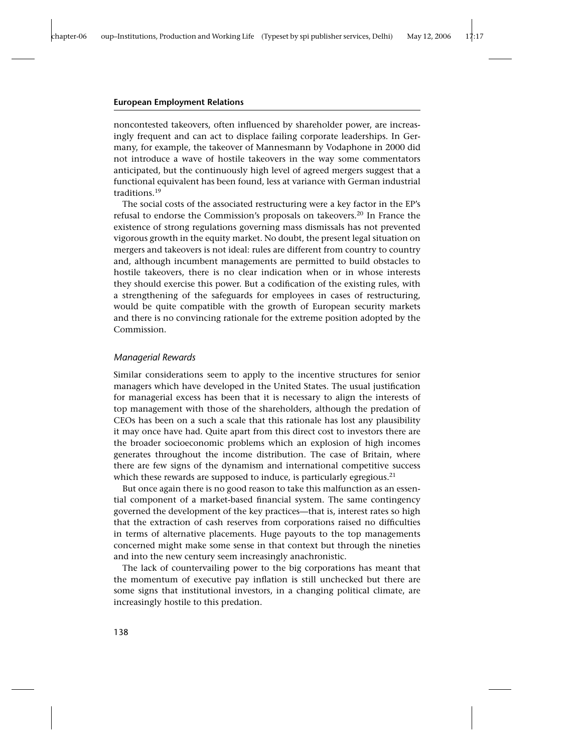noncontested takeovers, often influenced by shareholder power, are increasingly frequent and can act to displace failing corporate leaderships. In Germany, for example, the takeover of Mannesmann by Vodaphone in 2000 did not introduce a wave of hostile takeovers in the way some commentators anticipated, but the continuously high level of agreed mergers suggest that a functional equivalent has been found, less at variance with German industrial traditions.<sup>19</sup>

The social costs of the associated restructuring were a key factor in the EP's refusal to endorse the Commission's proposals on takeovers.<sup>20</sup> In France the existence of strong regulations governing mass dismissals has not prevented vigorous growth in the equity market. No doubt, the present legal situation on mergers and takeovers is not ideal: rules are different from country to country and, although incumbent managements are permitted to build obstacles to hostile takeovers, there is no clear indication when or in whose interests they should exercise this power. But a codification of the existing rules, with a strengthening of the safeguards for employees in cases of restructuring, would be quite compatible with the growth of European security markets and there is no convincing rationale for the extreme position adopted by the Commission.

### *Managerial Rewards*

Similar considerations seem to apply to the incentive structures for senior managers which have developed in the United States. The usual justification for managerial excess has been that it is necessary to align the interests of top management with those of the shareholders, although the predation of CEOs has been on a such a scale that this rationale has lost any plausibility it may once have had. Quite apart from this direct cost to investors there are the broader socioeconomic problems which an explosion of high incomes generates throughout the income distribution. The case of Britain, where there are few signs of the dynamism and international competitive success which these rewards are supposed to induce, is particularly egregious.<sup>21</sup>

But once again there is no good reason to take this malfunction as an essential component of a market-based financial system. The same contingency governed the development of the key practices—that is, interest rates so high that the extraction of cash reserves from corporations raised no difficulties in terms of alternative placements. Huge payouts to the top managements concerned might make some sense in that context but through the nineties and into the new century seem increasingly anachronistic.

The lack of countervailing power to the big corporations has meant that the momentum of executive pay inflation is still unchecked but there are some signs that institutional investors, in a changing political climate, are increasingly hostile to this predation.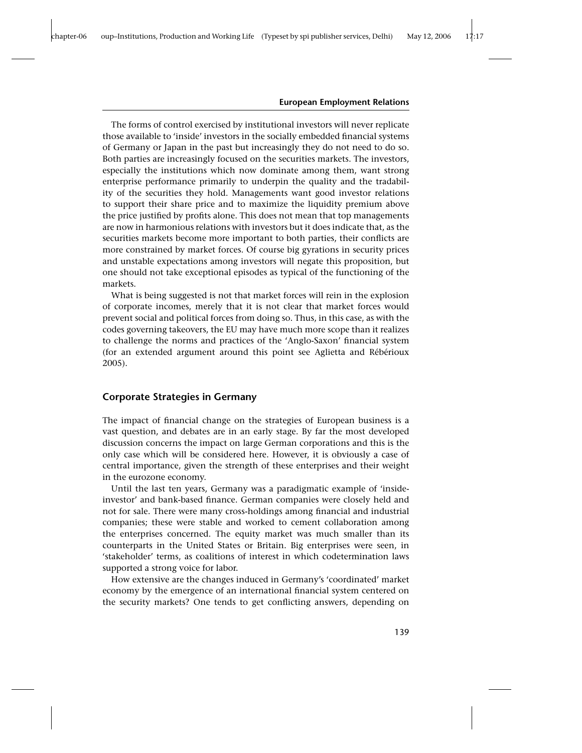The forms of control exercised by institutional investors will never replicate those available to 'inside' investors in the socially embedded financial systems of Germany or Japan in the past but increasingly they do not need to do so. Both parties are increasingly focused on the securities markets. The investors, especially the institutions which now dominate among them, want strong enterprise performance primarily to underpin the quality and the tradability of the securities they hold. Managements want good investor relations to support their share price and to maximize the liquidity premium above the price justified by profits alone. This does not mean that top managements are now in harmonious relations with investors but it does indicate that, as the securities markets become more important to both parties, their conflicts are more constrained by market forces. Of course big gyrations in security prices and unstable expectations among investors will negate this proposition, but one should not take exceptional episodes as typical of the functioning of the markets.

What is being suggested is not that market forces will rein in the explosion of corporate incomes, merely that it is not clear that market forces would prevent social and political forces from doing so. Thus, in this case, as with the codes governing takeovers, the EU may have much more scope than it realizes to challenge the norms and practices of the 'Anglo-Saxon' financial system (for an extended argument around this point see Aglietta and Rébérioux 2005).

## **Corporate Strategies in Germany**

The impact of financial change on the strategies of European business is a vast question, and debates are in an early stage. By far the most developed discussion concerns the impact on large German corporations and this is the only case which will be considered here. However, it is obviously a case of central importance, given the strength of these enterprises and their weight in the eurozone economy.

Until the last ten years, Germany was a paradigmatic example of 'insideinvestor' and bank-based finance. German companies were closely held and not for sale. There were many cross-holdings among financial and industrial companies; these were stable and worked to cement collaboration among the enterprises concerned. The equity market was much smaller than its counterparts in the United States or Britain. Big enterprises were seen, in 'stakeholder' terms, as coalitions of interest in which codetermination laws supported a strong voice for labor.

How extensive are the changes induced in Germany's 'coordinated' market economy by the emergence of an international financial system centered on the security markets? One tends to get conflicting answers, depending on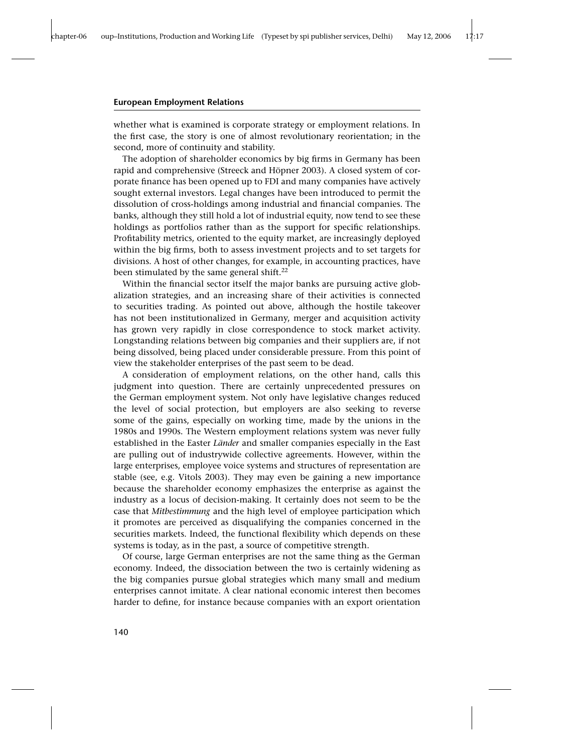whether what is examined is corporate strategy or employment relations. In the first case, the story is one of almost revolutionary reorientation; in the second, more of continuity and stability.

The adoption of shareholder economics by big firms in Germany has been rapid and comprehensive (Streeck and Höpner 2003). A closed system of corporate finance has been opened up to FDI and many companies have actively sought external investors. Legal changes have been introduced to permit the dissolution of cross-holdings among industrial and financial companies. The banks, although they still hold a lot of industrial equity, now tend to see these holdings as portfolios rather than as the support for specific relationships. Profitability metrics, oriented to the equity market, are increasingly deployed within the big firms, both to assess investment projects and to set targets for divisions. A host of other changes, for example, in accounting practices, have been stimulated by the same general shift.<sup>22</sup>

Within the financial sector itself the major banks are pursuing active globalization strategies, and an increasing share of their activities is connected to securities trading. As pointed out above, although the hostile takeover has not been institutionalized in Germany, merger and acquisition activity has grown very rapidly in close correspondence to stock market activity. Longstanding relations between big companies and their suppliers are, if not being dissolved, being placed under considerable pressure. From this point of view the stakeholder enterprises of the past seem to be dead.

A consideration of employment relations, on the other hand, calls this judgment into question. There are certainly unprecedented pressures on the German employment system. Not only have legislative changes reduced the level of social protection, but employers are also seeking to reverse some of the gains, especially on working time, made by the unions in the 1980s and 1990s. The Western employment relations system was never fully established in the Easter *Länder* and smaller companies especially in the East are pulling out of industrywide collective agreements. However, within the large enterprises, employee voice systems and structures of representation are stable (see, e.g. Vitols 2003). They may even be gaining a new importance because the shareholder economy emphasizes the enterprise as against the industry as a locus of decision-making. It certainly does not seem to be the case that *Mitbestimmung* and the high level of employee participation which it promotes are perceived as disqualifying the companies concerned in the securities markets. Indeed, the functional flexibility which depends on these systems is today, as in the past, a source of competitive strength.

Of course, large German enterprises are not the same thing as the German economy. Indeed, the dissociation between the two is certainly widening as the big companies pursue global strategies which many small and medium enterprises cannot imitate. A clear national economic interest then becomes harder to define, for instance because companies with an export orientation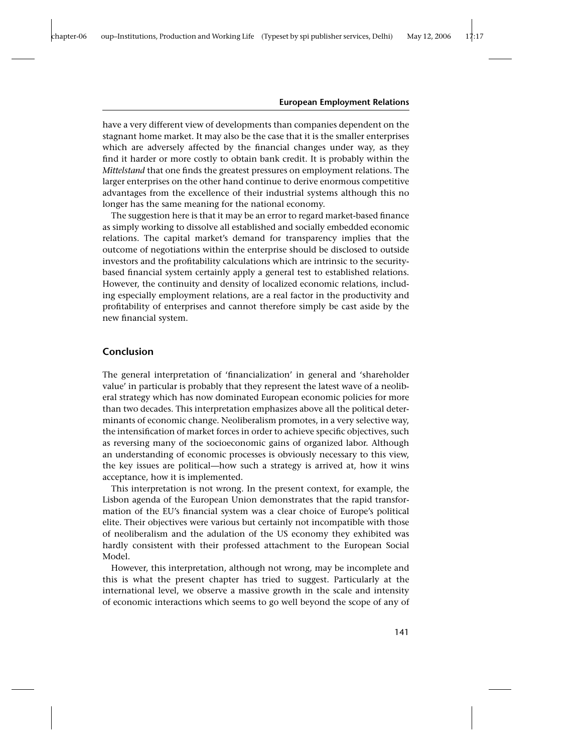have a very different view of developments than companies dependent on the stagnant home market. It may also be the case that it is the smaller enterprises which are adversely affected by the financial changes under way, as they find it harder or more costly to obtain bank credit. It is probably within the *Mittelstand* that one finds the greatest pressures on employment relations. The larger enterprises on the other hand continue to derive enormous competitive advantages from the excellence of their industrial systems although this no longer has the same meaning for the national economy.

The suggestion here is that it may be an error to regard market-based finance as simply working to dissolve all established and socially embedded economic relations. The capital market's demand for transparency implies that the outcome of negotiations within the enterprise should be disclosed to outside investors and the profitability calculations which are intrinsic to the securitybased financial system certainly apply a general test to established relations. However, the continuity and density of localized economic relations, including especially employment relations, are a real factor in the productivity and profitability of enterprises and cannot therefore simply be cast aside by the new financial system.

## **Conclusion**

The general interpretation of 'financialization' in general and 'shareholder value' in particular is probably that they represent the latest wave of a neoliberal strategy which has now dominated European economic policies for more than two decades. This interpretation emphasizes above all the political determinants of economic change. Neoliberalism promotes, in a very selective way, the intensification of market forces in order to achieve specific objectives, such as reversing many of the socioeconomic gains of organized labor. Although an understanding of economic processes is obviously necessary to this view, the key issues are political—how such a strategy is arrived at, how it wins acceptance, how it is implemented.

This interpretation is not wrong. In the present context, for example, the Lisbon agenda of the European Union demonstrates that the rapid transformation of the EU's financial system was a clear choice of Europe's political elite. Their objectives were various but certainly not incompatible with those of neoliberalism and the adulation of the US economy they exhibited was hardly consistent with their professed attachment to the European Social Model.

However, this interpretation, although not wrong, may be incomplete and this is what the present chapter has tried to suggest. Particularly at the international level, we observe a massive growth in the scale and intensity of economic interactions which seems to go well beyond the scope of any of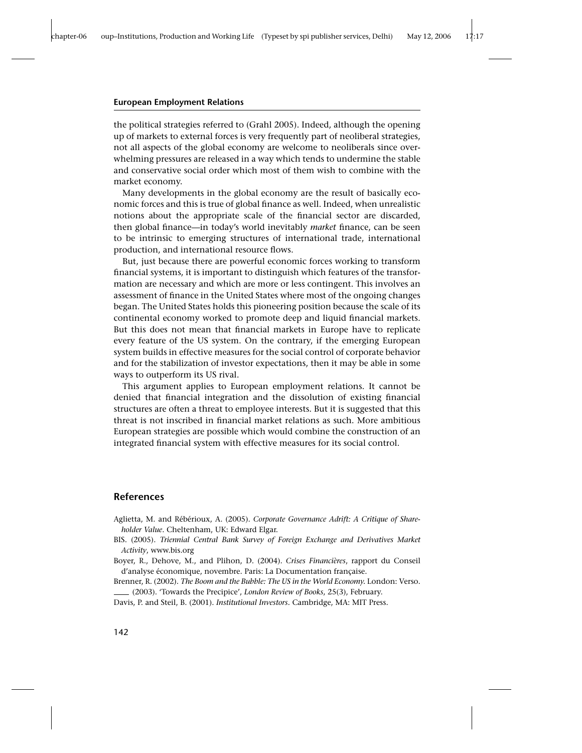the political strategies referred to (Grahl 2005). Indeed, although the opening up of markets to external forces is very frequently part of neoliberal strategies, not all aspects of the global economy are welcome to neoliberals since overwhelming pressures are released in a way which tends to undermine the stable and conservative social order which most of them wish to combine with the market economy.

Many developments in the global economy are the result of basically economic forces and this is true of global finance as well. Indeed, when unrealistic notions about the appropriate scale of the financial sector are discarded, then global finance—in today's world inevitably *market* finance, can be seen to be intrinsic to emerging structures of international trade, international production, and international resource flows.

But, just because there are powerful economic forces working to transform financial systems, it is important to distinguish which features of the transformation are necessary and which are more or less contingent. This involves an assessment of finance in the United States where most of the ongoing changes began. The United States holds this pioneering position because the scale of its continental economy worked to promote deep and liquid financial markets. But this does not mean that financial markets in Europe have to replicate every feature of the US system. On the contrary, if the emerging European system builds in effective measures for the social control of corporate behavior and for the stabilization of investor expectations, then it may be able in some ways to outperform its US rival.

This argument applies to European employment relations. It cannot be denied that financial integration and the dissolution of existing financial structures are often a threat to employee interests. But it is suggested that this threat is not inscribed in financial market relations as such. More ambitious European strategies are possible which would combine the construction of an integrated financial system with effective measures for its social control.

## **References**

Aglietta, M. and Rébérioux, A. (2005). *Corporate Governance Adrift: A Critique of Shareholder Value*. Cheltenham, UK: Edward Elgar.

BIS. (2005). *Triennial Central Bank Survey of Foreign Exchange and Derivatives Market Activity*, www.bis.org

Boyer, R., Dehove, M., and Plihon, D. (2004). *Crises Financières*, rapport du Conseil d'analyse économique, novembre. Paris: La Documentation française.

Brenner, R. (2002). *The Boom and the Bubble: The US in the World Economy.* London: Verso. (2003). 'Towards the Precipice', *London Review of Books*, 25(3), February.

Davis, P. and Steil, B. (2001). *Institutional Investors.* Cambridge, MA: MIT Press.